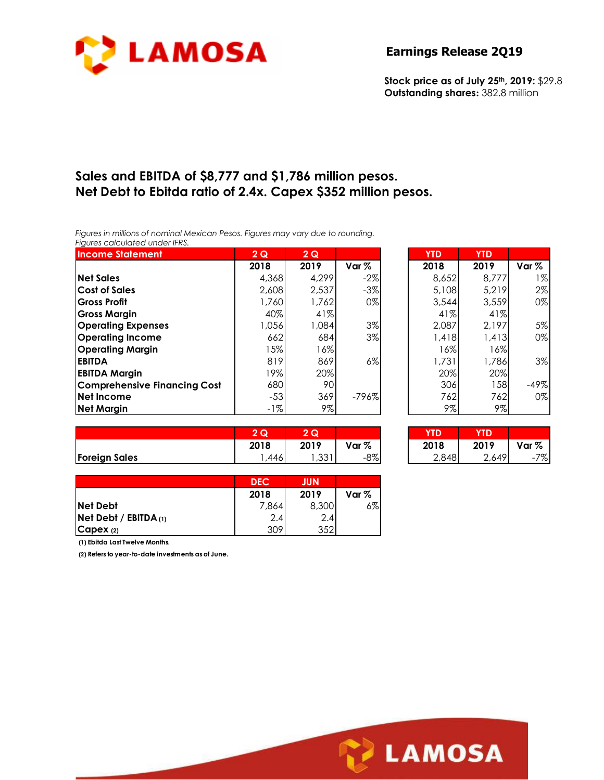

**Stock price as of July 25th, 2019:** \$29.8 **Outstanding shares:** 382.8 million

# **Sales and EBITDA of \$8,777 and \$1,786 million pesos. Net Debt to Ebitda ratio of 2.4x. Capex \$352 million pesos.**

*Figures in millions of nominal Mexican Pesos. Figures may vary due to rounding. Figures calculated under IFRS.* 

| <b>Income Statement</b>             | 2Q    | 2Q    |         | <b>YTD</b> | <b>YTD</b> |         |
|-------------------------------------|-------|-------|---------|------------|------------|---------|
|                                     | 2018  | 2019  | Var $%$ | 2018       | 2019       | Var $%$ |
| <b>Net Sales</b>                    | 4,368 | 4.299 | $-2\%$  | 8,652      | 8,777      | $1\%$   |
| <b>Cost of Sales</b>                | 2,608 | 2,537 | $-3\%$  | 5,108      | 5,219      | 2%      |
| <b>Gross Profit</b>                 | 1,760 | 1,762 | $0\%$   | 3,544      | 3,559      | 0%      |
| <b>Gross Margin</b>                 | 40%   | 41%   |         | 41%        | 41%        |         |
| <b>Operating Expenses</b>           | 1,056 | 1,084 | 3%      | 2,087      | 2,197      | 5%      |
| <b>Operating Income</b>             | 662   | 684   | $3\%$   | 1,418      | 1,413      | 0%      |
| <b>Operating Margin</b>             | $5\%$ | 16%   |         | $16\%$     | 16%        |         |
| <b>EBITDA</b>                       | 819   | 869   | $6\%$   | 1,731      | 1,786      | 3%      |
| <b>EBITDA Margin</b>                | 9%    | 20%   |         | 20%        | 20%        |         |
| <b>Comprehensive Financing Cost</b> | 680   | 90    |         | 306        | 158        | $-49%$  |
| Net Income                          | $-53$ | 369   | $-796%$ | 762        | 762        | 0%      |
| <b>Net Margin</b>                   | $-1%$ | 9%    |         | 9%         | 9%         |         |

| YTD   | YTD   |                  |
|-------|-------|------------------|
| 2018  | 2019  | Var <sub>%</sub> |
| 8,652 | 8.777 | 1%               |
| 5,108 | 5,219 | 2%               |
| 3,544 | 3,559 | 0%               |
| 41%   | 41%   |                  |
| 2,087 | 2,197 | 5%               |
| 1,418 | 1,413 | 0%               |
| 16%   | 16%   |                  |
| 1,731 | 1,786 | 3%               |
| 20%   | 20%   |                  |
| 306   | 158   | $-49%$           |
| 762   | 762   | 0%               |
| 9%    | 9%    |                  |

|                      | $\Omega$<br>ש<br>- | ົ<br>u |                  | YTD   |       |                                |
|----------------------|--------------------|--------|------------------|-------|-------|--------------------------------|
|                      | 2018               | 2019   | Var <sub>%</sub> | 2018  | 2019  | Var %                          |
| <b>Foreign Sales</b> | .446               | , 331  | $-8\%$           | 2,848 | 2,649 | 7%<br>$\overline{\phantom{0}}$ |

| 2Q   | Q    |        |       |       |       |
|------|------|--------|-------|-------|-------|
| 2018 | 2019 | Var %  | 2018  | 2019  | Var % |
| .446 | ,331 | $-8\%$ | 2,848 | 2,649 | $-7%$ |

|                            | <b>DEC</b> | <b>JUN</b> |       |
|----------------------------|------------|------------|-------|
|                            | 2018       | 2019       | Var % |
| <b>Net Debt</b>            | 7,864      | 8,300      | $6\%$ |
| $N$ et Debt / EBITDA $(1)$ | 2.4        | 2.4        |       |
| C <sub>apeX</sub> (2)      | 309        | 352        |       |

**(1) Ebitda Last Twelve Months.**

**(2) Refers to year-to-date investments as of June.**

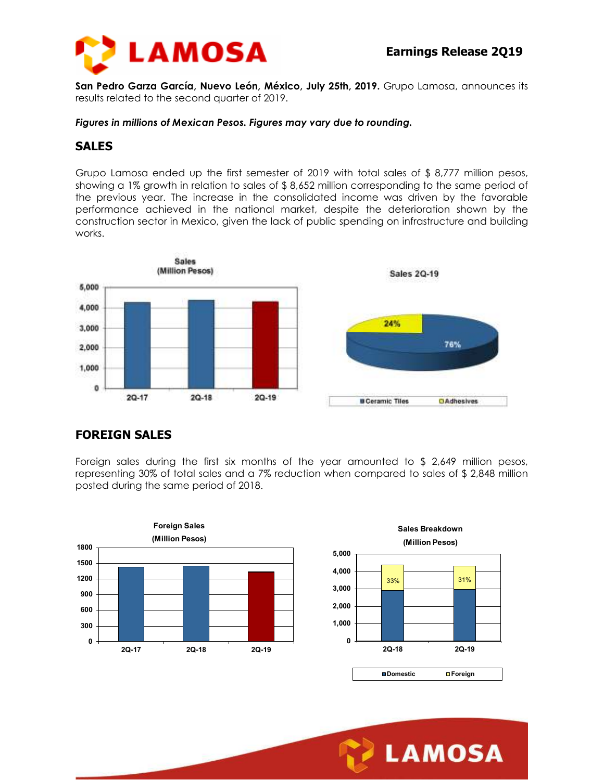

**San Pedro Garza García, Nuevo León, México, July 25th, 2019.** Grupo Lamosa, announces its results related to the second quarter of 2019.

*Figures in millions of Mexican Pesos. Figures may vary due to rounding.* 

#### **SALES**

Grupo Lamosa ended up the first semester of 2019 with total sales of \$ 8,777 million pesos, showing a 1% growth in relation to sales of \$ 8,652 million corresponding to the same period of the previous year. The increase in the consolidated income was driven by the favorable performance achieved in the national market, despite the deterioration shown by the construction sector in Mexico, given the lack of public spending on infrastructure and building works.



## **FOREIGN SALES**

Foreign sales during the first six months of the year amounted to \$ 2,649 million pesos, representing 30% of total sales and a 7% reduction when compared to sales of \$ 2,848 million posted during the same period of 2018.



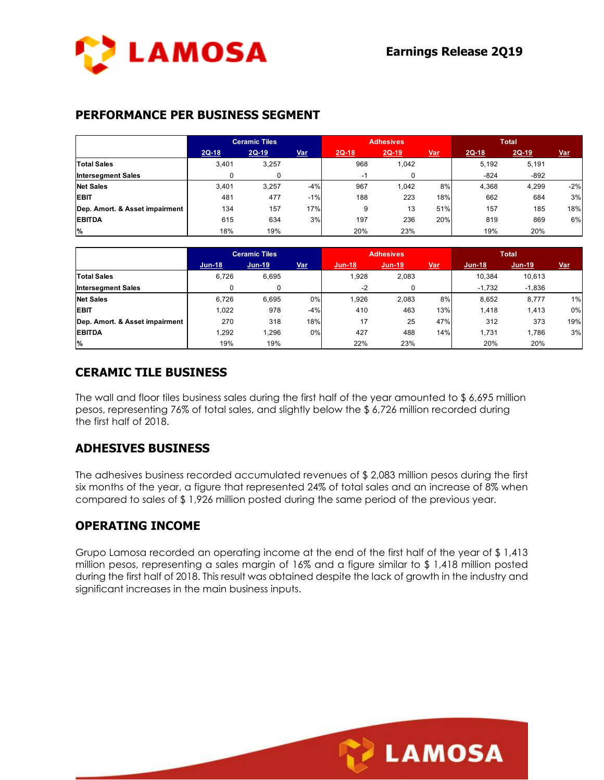

### **PERFORMANCE PER BUSINESS SEGMENT**

|                                | <b>Ceramic Tiles</b> |         | <b>Adhesives</b> |         |         | <b>Total</b> |         |         |            |
|--------------------------------|----------------------|---------|------------------|---------|---------|--------------|---------|---------|------------|
|                                | $2Q-18$              | $2Q-19$ | <u>Var</u>       | $2Q-18$ | $2Q-19$ | <u>Var</u>   | $2Q-18$ | $2Q-19$ | <u>Var</u> |
| <b>Total Sales</b>             | 3,401                | 3,257   |                  | 968     | 1,042   |              | 5.192   | 5,191   |            |
| <b>Intersegment Sales</b>      |                      | 0       |                  | -1      |         |              | $-824$  | $-892$  |            |
| <b>Net Sales</b>               | 3,401                | 3,257   | $-4%$            | 967     | 1,042   | 8%           | 4,368   | 4,299   | $-2%$      |
| <b>EBIT</b>                    | 481                  | 477     | $-1%$            | 188     | 223     | 18%          | 662     | 684     | 3%         |
| Dep. Amort. & Asset impairment | 134                  | 157     | 17%              | 9       | 13      | 51%          | 157     | 185     | 18%        |
| <b>EBITDA</b>                  | 615                  | 634     | 3%               | 197     | 236     | 20%          | 819     | 869     | 6%         |
| $\frac{9}{6}$                  | 18%                  | 19%     |                  | 20%     | 23%     |              | 19%     | 20%     |            |

|                                | <b>Ceramic Tiles</b> |          | <b>Adhesives</b> |        |        | <b>Total</b> |          |          |            |
|--------------------------------|----------------------|----------|------------------|--------|--------|--------------|----------|----------|------------|
|                                | $Jun-18$             | $Jun-19$ | Var              | Jun-18 | Jun-19 | <u>Var</u>   | $Jun-18$ | Jun-19   | <b>Var</b> |
| <b>Total Sales</b>             | 6.726                | 6,695    |                  | 928,   | 2,083  |              | 10.384   | 10,613   |            |
| <b>Intersegment Sales</b>      |                      |          |                  | $-2$   |        |              | $-1.732$ | $-1,836$ |            |
| <b>Net Sales</b>               | 6.726                | 6.695    | 0%               | 1.926  | 2,083  | 8%           | 8,652    | 8,777    | 1%         |
| <b>EBIT</b>                    | 1.022                | 978      | $-4%$            | 410    | 463    | 13%          | 1.418    | 1,413    | 0%         |
| Dep. Amort. & Asset impairment | 270                  | 318      | 18%              | 17     | 25     | 47%          | 312      | 373      | 19%        |
| <b>EBITDA</b>                  | 1,292                | .296     | 0%               | 427    | 488    | 14%          | 1.731    | 1,786    | 3%         |
| $\%$                           | 19%                  | 19%      |                  | 22%    | 23%    |              | 20%      | 20%      |            |

## **CERAMIC TILE BUSINESS**

The wall and floor tiles business sales during the first half of the year amounted to \$ 6,695 million pesos, representing 76% of total sales, and slightly below the \$ 6,726 million recorded during the first half of 2018.

## **ADHESIVES BUSINESS**

The adhesives business recorded accumulated revenues of \$ 2,083 million pesos during the first six months of the year, a figure that represented 24% of total sales and an increase of 8% when compared to sales of \$ 1,926 million posted during the same period of the previous year.

#### **OPERATING INCOME**

Grupo Lamosa recorded an operating income at the end of the first half of the year of \$ 1,413 million pesos, representing a sales margin of 16% and a figure similar to \$ 1,418 million posted during the first half of 2018. This result was obtained despite the lack of growth in the industry and significant increases in the main business inputs.

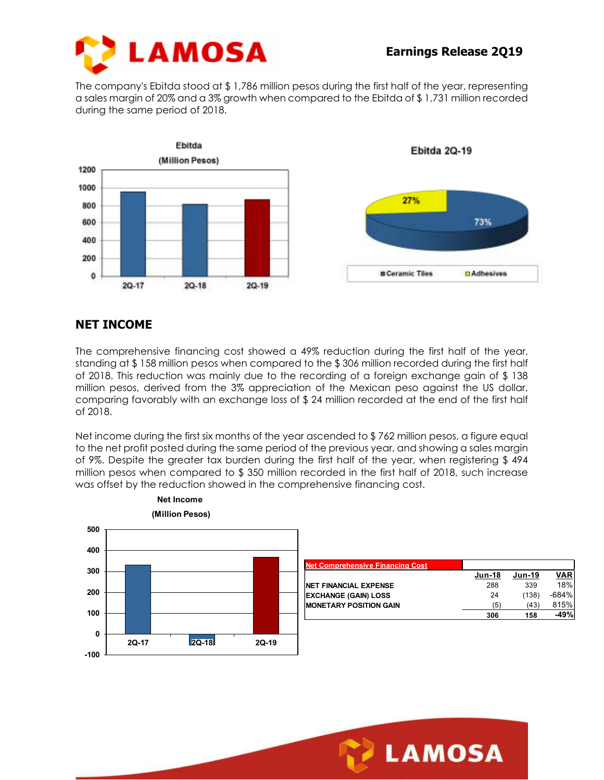

The company's Ebitda stood at \$ 1,786 million pesos during the first half of the year, representing a sales margin of 20% and a 3% growth when compared to the Ebitda of \$ 1,731 million recorded during the same period of 2018.



## **NET INCOME**

The comprehensive financing cost showed a 49% reduction during the first half of the year, standing at \$ 158 million pesos when compared to the \$ 306 million recorded during the first half of 2018. This reduction was mainly due to the recording of a foreign exchange gain of \$ 138 million pesos, derived from the 3% appreciation of the Mexican peso against the US dollar, comparing favorably with an exchange loss of \$ 24 million recorded at the end of the first half of 2018.

Net income during the first six months of the year ascended to \$ 762 million pesos, a figure equal to the net profit posted during the same period of the previous year, and showing a sales margin of 9%. Despite the greater tax burden during the first half of the year, when registering \$ 494 million pesos when compared to \$ 350 million recorded in the first half of 2018, such increase was offset by the reduction showed in the comprehensive financing cost.



| <b>Net Comprehensive Financing Cost</b> |               |        |            |
|-----------------------------------------|---------------|--------|------------|
|                                         | <b>Jun-18</b> | Jun-19 | <b>VAR</b> |
| <b>NET FINANCIAL EXPENSE</b>            | 288           | 339    | 18%        |
| <b>EXCHANGE (GAIN) LOSS</b>             | 24            | (138)  | $-684%$    |
| <b>MONETARY POSITION GAIN</b>           | (5)           | (43)   | 815%       |
|                                         | 306           | 158    | $-49%$     |